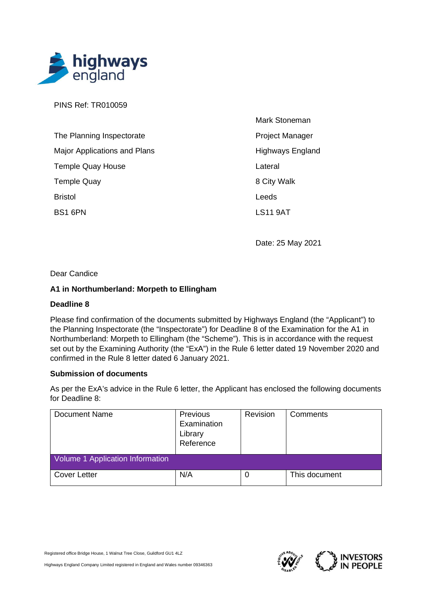

PINS Ref: TR010059

| The Planning Inspectorate           |
|-------------------------------------|
| <b>Major Applications and Plans</b> |
| <b>Temple Quay House</b>            |
| <b>Temple Quay</b>                  |
| <b>Bristol</b>                      |
| BS1 6PN                             |

Mark Stoneman Project Manager Highways England Lateral 8 City Walk Leeds LS11 9AT

Date: 25 May 2021

## Dear Candice

## **A1 in Northumberland: Morpeth to Ellingham**

## **Deadline 8**

Please find confirmation of the documents submitted by Highways England (the "Applicant") to the Planning Inspectorate (the "Inspectorate") for Deadline 8 of the Examination for the A1 in Northumberland: Morpeth to Ellingham (the "Scheme"). This is in accordance with the request set out by the Examining Authority (the "ExA") in the Rule 6 letter dated 19 November 2020 and confirmed in the Rule 8 letter dated 6 January 2021.

## **Submission of documents**

As per the ExA's advice in the Rule 6 letter, the Applicant has enclosed the following documents for Deadline 8:

| <b>Document Name</b>             | Previous<br>Examination<br>Library<br>Reference | Revision | Comments      |
|----------------------------------|-------------------------------------------------|----------|---------------|
| Volume 1 Application Information |                                                 |          |               |
| Cover Letter                     | N/A                                             | 0        | This document |



Highways England Company Limited registered in England and Wales number 09346363

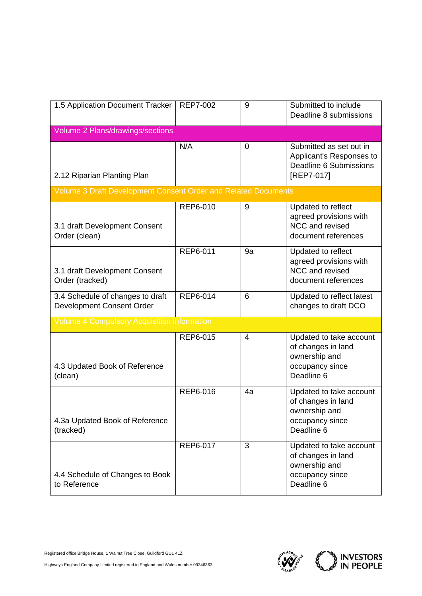| 1.5 Application Document Tracker                               | <b>REP7-002</b> | 9              | Submitted to include<br>Deadline 8 submissions                                                  |
|----------------------------------------------------------------|-----------------|----------------|-------------------------------------------------------------------------------------------------|
| Volume 2 Plans/drawings/sections                               |                 |                |                                                                                                 |
| 2.12 Riparian Planting Plan                                    | N/A             | 0              | Submitted as set out in<br>Applicant's Responses to<br>Deadline 6 Submissions<br>[REP7-017]     |
| Volume 3 Draft Development Consent Order and Related Documents |                 |                |                                                                                                 |
| 3.1 draft Development Consent<br>Order (clean)                 | REP6-010        | 9              | Updated to reflect<br>agreed provisions with<br>NCC and revised<br>document references          |
| 3.1 draft Development Consent<br>Order (tracked)               | REP6-011        | 9a             | Updated to reflect<br>agreed provisions with<br>NCC and revised<br>document references          |
| 3.4 Schedule of changes to draft<br>Development Consent Order  | REP6-014        | 6              | Updated to reflect latest<br>changes to draft DCO                                               |
| <b>Volume 4 Compulsory Acquisition information</b>             |                 |                |                                                                                                 |
| 4.3 Updated Book of Reference<br>(clean)                       | REP6-015        | $\overline{4}$ | Updated to take account<br>of changes in land<br>ownership and<br>occupancy since<br>Deadline 6 |
| 4.3a Updated Book of Reference<br>(tracked)                    | REP6-016        | 4a             | Updated to take account<br>of changes in land<br>ownership and<br>occupancy since<br>Deadline 6 |
| 4.4 Schedule of Changes to Book<br>to Reference                | REP6-017        | 3              | Updated to take account<br>of changes in land<br>ownership and<br>occupancy since<br>Deadline 6 |

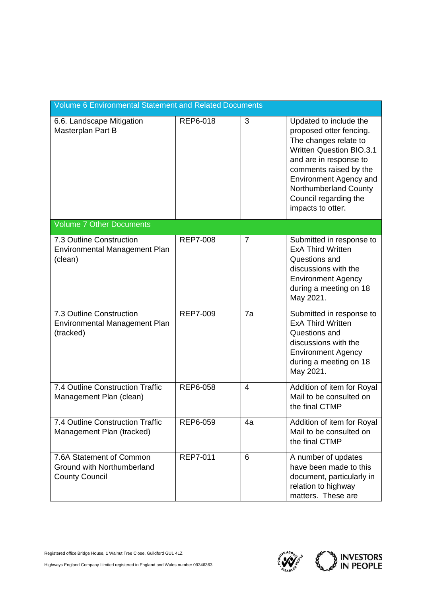| <b>Volume 6 Environmental Statement and Related Documents</b>                   |                 |                |                                                                                                                                                                                                                                                                           |
|---------------------------------------------------------------------------------|-----------------|----------------|---------------------------------------------------------------------------------------------------------------------------------------------------------------------------------------------------------------------------------------------------------------------------|
| 6.6. Landscape Mitigation<br>Masterplan Part B                                  | REP6-018        | 3              | Updated to include the<br>proposed otter fencing.<br>The changes relate to<br><b>Written Question BIO.3.1</b><br>and are in response to<br>comments raised by the<br><b>Environment Agency and</b><br>Northumberland County<br>Council regarding the<br>impacts to otter. |
| <b>Volume 7 Other Documents</b>                                                 |                 |                |                                                                                                                                                                                                                                                                           |
| 7.3 Outline Construction<br>Environmental Management Plan<br>(clean)            | <b>REP7-008</b> | 7              | Submitted in response to<br><b>ExA Third Written</b><br>Questions and<br>discussions with the<br><b>Environment Agency</b><br>during a meeting on 18<br>May 2021.                                                                                                         |
| 7.3 Outline Construction<br>Environmental Management Plan<br>(tracked)          | <b>REP7-009</b> | 7a             | Submitted in response to<br><b>ExA Third Written</b><br>Questions and<br>discussions with the<br><b>Environment Agency</b><br>during a meeting on 18<br>May 2021.                                                                                                         |
| 7.4 Outline Construction Traffic<br>Management Plan (clean)                     | REP6-058        | $\overline{4}$ | Addition of item for Royal<br>Mail to be consulted on<br>the final CTMP                                                                                                                                                                                                   |
| 7.4 Outline Construction Traffic<br>Management Plan (tracked)                   | REP6-059        | 4a             | Addition of item for Royal<br>Mail to be consulted on<br>the final CTMP                                                                                                                                                                                                   |
| 7.6A Statement of Common<br>Ground with Northumberland<br><b>County Council</b> | <b>REP7-011</b> | 6              | A number of updates<br>have been made to this<br>document, particularly in<br>relation to highway<br>matters. These are                                                                                                                                                   |

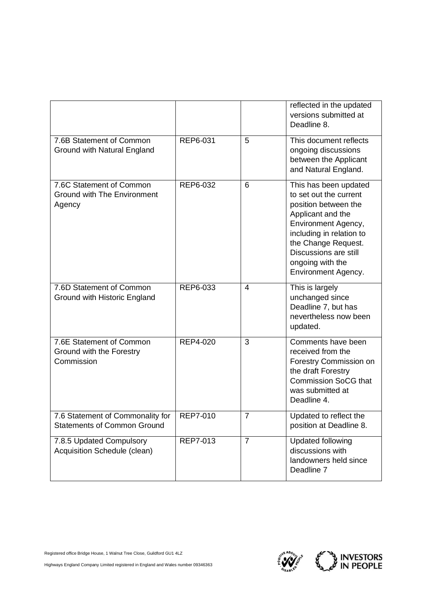|                                                                                   |          |                | reflected in the updated<br>versions submitted at<br>Deadline 8.                                                                                                                                                                           |
|-----------------------------------------------------------------------------------|----------|----------------|--------------------------------------------------------------------------------------------------------------------------------------------------------------------------------------------------------------------------------------------|
| 7.6B Statement of Common<br>Ground with Natural England                           | REP6-031 | 5              | This document reflects<br>ongoing discussions<br>between the Applicant<br>and Natural England.                                                                                                                                             |
| 7.6C Statement of Common<br><b>Ground with The Environment</b><br>Agency          | REP6-032 | 6              | This has been updated<br>to set out the current<br>position between the<br>Applicant and the<br>Environment Agency,<br>including in relation to<br>the Change Request.<br>Discussions are still<br>ongoing with the<br>Environment Agency. |
| 7.6D Statement of Common<br>Ground with Historic England                          | REP6-033 | $\overline{4}$ | This is largely<br>unchanged since<br>Deadline 7, but has<br>nevertheless now been<br>updated.                                                                                                                                             |
| 7.6E Statement of Common<br>Ground with the Forestry<br>Commission                | REP4-020 | 3              | Comments have been<br>received from the<br>Forestry Commission on<br>the draft Forestry<br><b>Commission SoCG that</b><br>was submitted at<br>Deadline 4.                                                                                  |
| 7.6 Statement of Commonality for   REP7-010<br><b>Statements of Common Ground</b> |          | $\overline{7}$ | Updated to reflect the<br>position at Deadline 8.                                                                                                                                                                                          |
| 7.8.5 Updated Compulsory<br>Acquisition Schedule (clean)                          | REP7-013 | $\overline{7}$ | <b>Updated following</b><br>discussions with<br>landowners held since<br>Deadline 7                                                                                                                                                        |



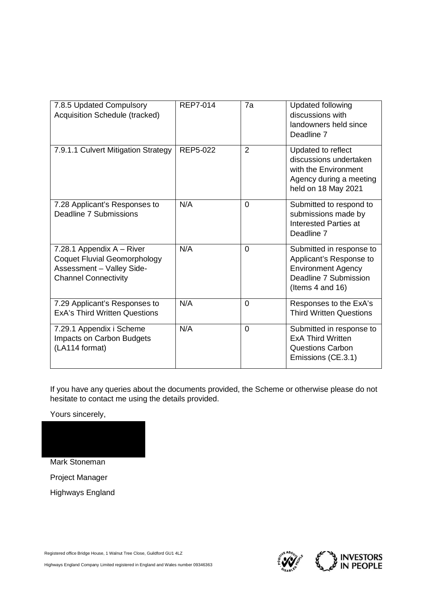| 7.8.5 Updated Compulsory<br>Acquisition Schedule (tracked)                                                                   | <b>REP7-014</b> | 7a             | <b>Updated following</b><br>discussions with<br>landowners held since<br>Deadline 7                                           |
|------------------------------------------------------------------------------------------------------------------------------|-----------------|----------------|-------------------------------------------------------------------------------------------------------------------------------|
| 7.9.1.1 Culvert Mitigation Strategy                                                                                          | REP5-022        | $\overline{2}$ | Updated to reflect<br>discussions undertaken<br>with the Environment<br>Agency during a meeting<br>held on 18 May 2021        |
| 7.28 Applicant's Responses to<br>Deadline 7 Submissions                                                                      | N/A             | $\overline{0}$ | Submitted to respond to<br>submissions made by<br><b>Interested Parties at</b><br>Deadline 7                                  |
| 7.28.1 Appendix A - River<br><b>Coquet Fluvial Geomorphology</b><br>Assessment - Valley Side-<br><b>Channel Connectivity</b> | N/A             | $\overline{0}$ | Submitted in response to<br>Applicant's Response to<br><b>Environment Agency</b><br>Deadline 7 Submission<br>(Items 4 and 16) |
| 7.29 Applicant's Responses to<br><b>ExA's Third Written Questions</b>                                                        | N/A             | $\Omega$       | Responses to the ExA's<br><b>Third Written Questions</b>                                                                      |
| 7.29.1 Appendix i Scheme<br>Impacts on Carbon Budgets<br>(LA114 format)                                                      | N/A             | $\overline{0}$ | Submitted in response to<br><b>ExA Third Written</b><br><b>Questions Carbon</b><br>Emissions (CE.3.1)                         |

If you have any queries about the documents provided, the Scheme or otherwise please do not hesitate to contact me using the details provided.

Yours sincerely,

Mark Stoneman Project Manager Highways England

Registered office Bridge House, 1 Walnut Tree Close, Guildford GU1 4LZ